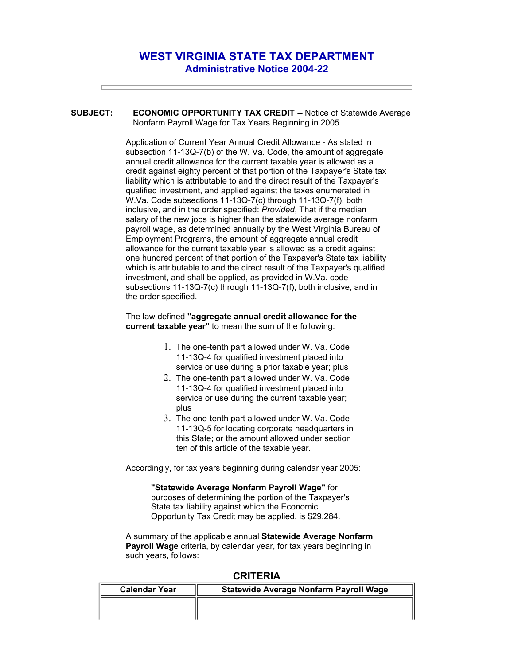## **WEST VIRGINIA STATE TAX DEPARTMENT Administrative Notice 2004-22**

**SUBJECT: ECONOMIC OPPORTUNITY TAX CREDIT --** Notice of Statewide Average Nonfarm Payroll Wage for Tax Years Beginning in 2005

> Application of Current Year Annual Credit Allowance - As stated in subsection 11-13Q-7(b) of the W. Va. Code, the amount of aggregate annual credit allowance for the current taxable year is allowed as a credit against eighty percent of that portion of the Taxpayer's State tax liability which is attributable to and the direct result of the Taxpayer's qualified investment, and applied against the taxes enumerated in W.Va. Code subsections 11-13Q-7(c) through 11-13Q-7(f), both inclusive, and in the order specified: *Provided*, That if the median salary of the new jobs is higher than the statewide average nonfarm payroll wage, as determined annually by the West Virginia Bureau of Employment Programs, the amount of aggregate annual credit allowance for the current taxable year is allowed as a credit against one hundred percent of that portion of the Taxpayer's State tax liability which is attributable to and the direct result of the Taxpayer's qualified investment, and shall be applied, as provided in W.Va. code subsections 11-13Q-7(c) through 11-13Q-7(f), both inclusive, and in the order specified.

## The law defined **"aggregate annual credit allowance for the current taxable year"** to mean the sum of the following:

- 1. The one-tenth part allowed under W. Va. Code 11-13Q-4 for qualified investment placed into service or use during a prior taxable year; plus
- 2. The one-tenth part allowed under W. Va. Code 11-13Q-4 for qualified investment placed into service or use during the current taxable year; plus
- 3. The one-tenth part allowed under W. Va. Code 11-13Q-5 for locating corporate headquarters in this State; or the amount allowed under section ten of this article of the taxable year.

Accordingly, for tax years beginning during calendar year 2005:

**"Statewide Average Nonfarm Payroll Wage"** for purposes of determining the portion of the Taxpayer's State tax liability against which the Economic Opportunity Tax Credit may be applied, is \$29,284.

A summary of the applicable annual **Statewide Average Nonfarm Payroll Wage** criteria, by calendar year, for tax years beginning in such years, follows:

| -                    |                                               |  |
|----------------------|-----------------------------------------------|--|
| <b>Calendar Year</b> | <b>Statewide Average Nonfarm Payroll Wage</b> |  |
|                      |                                               |  |
|                      |                                               |  |

## **CRITERIA**